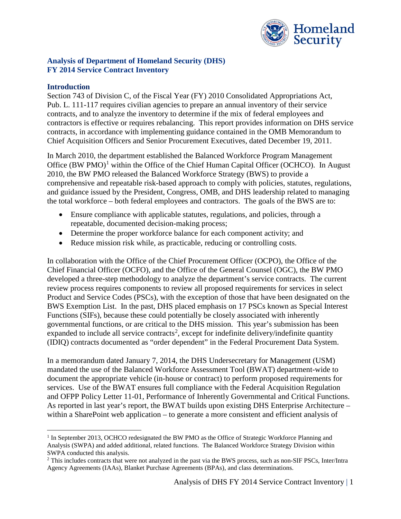

### **Analysis of Department of Homeland Security (DHS) FY 2014 Service Contract Inventory**

#### **Introduction**

Section 743 of Division C, of the Fiscal Year (FY) 2010 Consolidated Appropriations Act, Pub. L. 111-117 requires civilian agencies to prepare an annual inventory of their service contracts, and to analyze the inventory to determine if the mix of federal employees and contractors is effective or requires rebalancing. This report provides information on DHS service contracts, in accordance with implementing guidance contained in the OMB Memorandum to Chief Acquisition Officers and Senior Procurement Executives, dated December 19, 2011.

In March 2010, the department established the Balanced Workforce Program Management Office (BW PMO)<sup>[1](#page-0-0)</sup> within the Office of the Chief Human Capital Officer (OCHCO). In August 2010, the BW PMO released the Balanced Workforce Strategy (BWS) to provide a comprehensive and repeatable risk-based approach to comply with policies, statutes, regulations, and guidance issued by the President, Congress, OMB, and DHS leadership related to managing the total workforce – both federal employees and contractors. The goals of the BWS are to:

- Ensure compliance with applicable statutes, regulations, and policies, through a repeatable, documented decision-making process;
- Determine the proper workforce balance for each component activity; and
- Reduce mission risk while, as practicable, reducing or controlling costs.

In collaboration with the Office of the Chief Procurement Officer (OCPO), the Office of the Chief Financial Officer (OCFO), and the Office of the General Counsel (OGC), the BW PMO developed a three-step methodology to analyze the department's service contracts. The current review process requires components to review all proposed requirements for services in select Product and Service Codes (PSCs), with the exception of those that have been designated on the BWS Exemption List. In the past, DHS placed emphasis on 17 PSCs known as Special Interest Functions (SIFs), because these could potentially be closely associated with inherently governmental functions, or are critical to the DHS mission. This year's submission has been expanded to include all service contracts<sup>[2](#page-0-1)</sup>, except for indefinite delivery/indefinite quantity (IDIQ) contracts documented as "order dependent" in the Federal Procurement Data System.

In a memorandum dated January 7, 2014, the DHS Undersecretary for Management (USM) mandated the use of the Balanced Workforce Assessment Tool (BWAT) department-wide to document the appropriate vehicle (in-house or contract) to perform proposed requirements for services. Use of the BWAT ensures full compliance with the Federal Acquisition Regulation and OFPP Policy Letter 11-01, Performance of Inherently Governmental and Critical Functions. As reported in last year's report, the BWAT builds upon existing DHS Enterprise Architecture – within a SharePoint web application – to generate a more consistent and efficient analysis of

<span id="page-0-0"></span><sup>&</sup>lt;sup>1</sup> In September 2013, OCHCO redesignated the BW PMO as the Office of Strategic Workforce Planning and Analysis (SWPA) and added additional, related functions. The Balanced Workforce Strategy Division within SWPA conducted this analysis.

<span id="page-0-1"></span><sup>&</sup>lt;sup>2</sup> This includes contracts that were not analyzed in the past via the BWS process, such as non-SIF PSCs, Inter/Intra Agency Agreements (IAAs), Blanket Purchase Agreements (BPAs), and class determinations.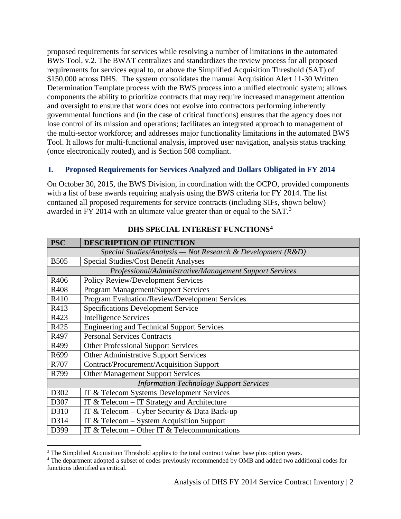proposed requirements for services while resolving a number of limitations in the automated BWS Tool, v.2. The BWAT centralizes and standardizes the review process for all proposed requirements for services equal to, or above the Simplified Acquisition Threshold (SAT) of \$150,000 across DHS. The system consolidates the manual Acquisition Alert 11-30 Written Determination Template process with the BWS process into a unified electronic system; allows components the ability to prioritize contracts that may require increased management attention and oversight to ensure that work does not evolve into contractors performing inherently governmental functions and (in the case of critical functions) ensures that the agency does not lose control of its mission and operations; facilitates an integrated approach to management of the multi-sector workforce; and addresses major functionality limitations in the automated BWS Tool. It allows for multi-functional analysis, improved user navigation, analysis status tracking (once electronically routed), and is Section 508 compliant.

# **I. Proposed Requirements for Services Analyzed and Dollars Obligated in FY 2014**

On October 30, 2015, the BWS Division, in coordination with the OCPO, provided components with a list of base awards requiring analysis using the BWS criteria for FY 2014. The list contained all proposed requirements for service contracts (including SIFs, shown below) awarded in FY 2014 with an ultimate value greater than or equal to the SAT.<sup>[3](#page-1-0)</sup>

| <b>PSC</b>                                                      | <b>DESCRIPTION OF FUNCTION</b>                        |  |  |
|-----------------------------------------------------------------|-------------------------------------------------------|--|--|
| Special Studies/Analysis — Not Research & Development ( $R&D$ ) |                                                       |  |  |
| <b>B505</b>                                                     | <b>Special Studies/Cost Benefit Analyses</b>          |  |  |
| Professional/Administrative/Management Support Services         |                                                       |  |  |
| R406                                                            | <b>Policy Review/Development Services</b>             |  |  |
| R408                                                            | <b>Program Management/Support Services</b>            |  |  |
| R410                                                            | <b>Program Evaluation/Review/Development Services</b> |  |  |
| R413                                                            | <b>Specifications Development Service</b>             |  |  |
| R423                                                            | <b>Intelligence Services</b>                          |  |  |
| R425                                                            | <b>Engineering and Technical Support Services</b>     |  |  |
| R497                                                            | <b>Personal Services Contracts</b>                    |  |  |
| R499                                                            | <b>Other Professional Support Services</b>            |  |  |
| R699                                                            | Other Administrative Support Services                 |  |  |
| R707                                                            | <b>Contract/Procurement/Acquisition Support</b>       |  |  |
| R799                                                            | <b>Other Management Support Services</b>              |  |  |
| <b>Information Technology Support Services</b>                  |                                                       |  |  |
| D302                                                            | IT & Telecom Systems Development Services             |  |  |
| D307                                                            | IT & Telecom $-$ IT Strategy and Architecture         |  |  |
| D310                                                            | IT & Telecom - Cyber Security & Data Back-up          |  |  |
| D314                                                            | IT & Telecom - System Acquisition Support             |  |  |
| D399                                                            | IT & Telecom – Other IT & Telecommunications          |  |  |

## **DHS SPECIAL INTEREST FUNCTIONS[4](#page-1-1)**

<span id="page-1-0"></span><sup>&</sup>lt;sup>3</sup> The Simplified Acquisition Threshold applies to the total contract value: base plus option years.<br><sup>4</sup> The department adopted a subset of codes previously recommended by OMB and added two additional codes for

<span id="page-1-1"></span>functions identified as critical.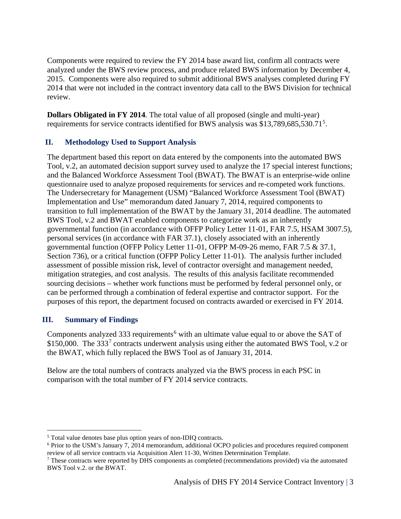Components were required to review the FY 2014 base award list, confirm all contracts were analyzed under the BWS review process, and produce related BWS information by December 4, 2015. Components were also required to submit additional BWS analyses completed during FY 2014 that were not included in the contract inventory data call to the BWS Division for technical review.

**Dollars Obligated in FY 2014**. The total value of all proposed (single and multi-year) requirements for service contracts identified for BWS analysis was \$13,789,68[5](#page-2-0),530.71<sup>5</sup>.

## **II. Methodology Used to Support Analysis**

The department based this report on data entered by the components into the automated BWS Tool, v.2, an automated decision support survey used to analyze the 17 special interest functions; and the Balanced Workforce Assessment Tool (BWAT). The BWAT is an enterprise-wide online questionnaire used to analyze proposed requirements for services and re-competed work functions. The Undersecretary for Management (USM) "Balanced Workforce Assessment Tool (BWAT) Implementation and Use" memorandum dated January 7, 2014, required components to transition to full implementation of the BWAT by the January 31, 2014 deadline. The automated BWS Tool, v.2 and BWAT enabled components to categorize work as an inherently governmental function (in accordance with OFFP Policy Letter 11-01, FAR 7.5, HSAM 3007.5), personal services (in accordance with FAR 37.1), closely associated with an inherently governmental function (OFFP Policy Letter 11-01, OFPP M-09-26 memo, FAR 7.5 & 37.1, Section 736), or a critical function (OFPP Policy Letter 11-01). The analysis further included assessment of possible mission risk, level of contractor oversight and management needed, mitigation strategies, and cost analysis. The results of this analysis facilitate recommended sourcing decisions – whether work functions must be performed by federal personnel only, or can be performed through a combination of federal expertise and contractor support. For the purposes of this report, the department focused on contracts awarded or exercised in FY 2014.

## **III. Summary of Findings**

Components analyzed 333 requirements<sup>[6](#page-2-1)</sup> with an ultimate value equal to or above the SAT of \$150,000. The  $333<sup>7</sup>$  $333<sup>7</sup>$  $333<sup>7</sup>$  contracts underwent analysis using either the automated BWS Tool, v.2 or the BWAT, which fully replaced the BWS Tool as of January 31, 2014.

Below are the total numbers of contracts analyzed via the BWS process in each PSC in comparison with the total number of FY 2014 service contracts.

<span id="page-2-0"></span> <sup>5</sup> Total value denotes base plus option years of non-IDIQ contracts.

<span id="page-2-1"></span><sup>6</sup> Prior to the USM's January 7, 2014 memorandum, additional OCPO policies and procedures required component review of all service contracts via Acquisition Alert 11-30, Written Determination Template.

<span id="page-2-2"></span><sup>7</sup> These contracts were reported by DHS components as completed (recommendations provided) via the automated BWS Tool v.2. or the BWAT.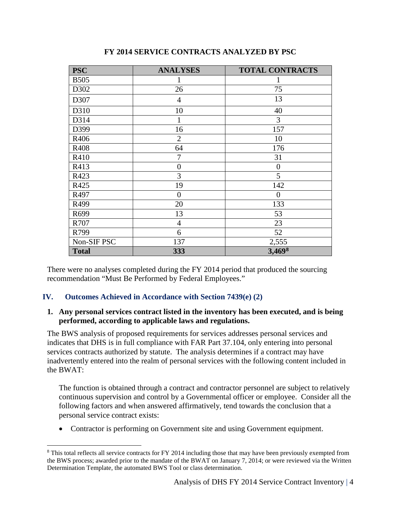| <b>PSC</b>   | <b>ANALYSES</b> | <b>TOTAL CONTRACTS</b> |
|--------------|-----------------|------------------------|
| <b>B505</b>  |                 |                        |
| D302         | 26              | 75                     |
| D307         | $\overline{4}$  | 13                     |
| D310         | 10              | 40                     |
| D314         |                 | 3                      |
| D399         | 16              | 157                    |
| R406         | $\overline{2}$  | 10                     |
| R408         | 64              | 176                    |
| R410         | 7               | 31                     |
| R413         | $\overline{0}$  | $\boldsymbol{0}$       |
| R423         | 3               | 5                      |
| R425         | 19              | 142                    |
| R497         | $\theta$        | $\theta$               |
| R499         | 20              | 133                    |
| R699         | 13              | 53                     |
| R707         | $\overline{4}$  | 23                     |
| R799         | 6               | 52                     |
| Non-SIF PSC  | 137             | 2,555                  |
| <b>Total</b> | 333             | 3,4698                 |

## **FY 2014 SERVICE CONTRACTS ANALYZED BY PSC**

There were no analyses completed during the FY 2014 period that produced the sourcing recommendation "Must Be Performed by Federal Employees."

## **IV. Outcomes Achieved in Accordance with Section 7439(e) (2)**

#### **1. Any personal services contract listed in the inventory has been executed, and is being performed, according to applicable laws and regulations.**

The BWS analysis of proposed requirements for services addresses personal services and indicates that DHS is in full compliance with FAR Part 37.104, only entering into personal services contracts authorized by statute. The analysis determines if a contract may have inadvertently entered into the realm of personal services with the following content included in the BWAT:

The function is obtained through a contract and contractor personnel are subject to relatively continuous supervision and control by a Governmental officer or employee. Consider all the following factors and when answered affirmatively, tend towards the conclusion that a personal service contract exists:

• Contractor is performing on Government site and using Government equipment.

<span id="page-3-0"></span><sup>&</sup>lt;sup>8</sup> This total reflects all service contracts for FY 2014 including those that may have been previously exempted from the BWS process; awarded prior to the mandate of the BWAT on January 7, 2014; or were reviewed via the Written Determination Template, the automated BWS Tool or class determination.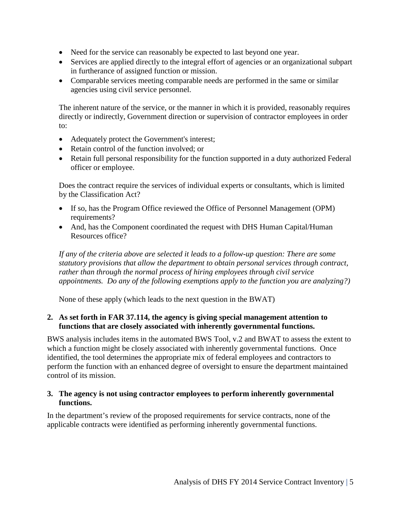- Need for the service can reasonably be expected to last beyond one year.
- Services are applied directly to the integral effort of agencies or an organizational subpart in furtherance of assigned function or mission.
- Comparable services meeting comparable needs are performed in the same or similar agencies using civil service personnel.

The inherent nature of the service, or the manner in which it is provided, reasonably requires directly or indirectly, Government direction or supervision of contractor employees in order to:

- Adequately protect the Government's interest;
- Retain control of the function involved: or
- Retain full personal responsibility for the function supported in a duty authorized Federal officer or employee.

Does the contract require the services of individual experts or consultants, which is limited by the Classification Act?

- If so, has the Program Office reviewed the Office of Personnel Management (OPM) requirements?
- And, has the Component coordinated the request with DHS Human Capital/Human Resources office?

*If any of the criteria above are selected it leads to a follow-up question: There are some statutory provisions that allow the department to obtain personal services through contract, rather than through the normal process of hiring employees through civil service appointments. Do any of the following exemptions apply to the function you are analyzing?)*

None of these apply (which leads to the next question in the BWAT)

#### **2. As set forth in FAR 37.114, the agency is giving special management attention to functions that are closely associated with inherently governmental functions.**

BWS analysis includes items in the automated BWS Tool, v.2 and BWAT to assess the extent to which a function might be closely associated with inherently governmental functions. Once identified, the tool determines the appropriate mix of federal employees and contractors to perform the function with an enhanced degree of oversight to ensure the department maintained control of its mission.

#### **3. The agency is not using contractor employees to perform inherently governmental functions.**

In the department's review of the proposed requirements for service contracts, none of the applicable contracts were identified as performing inherently governmental functions.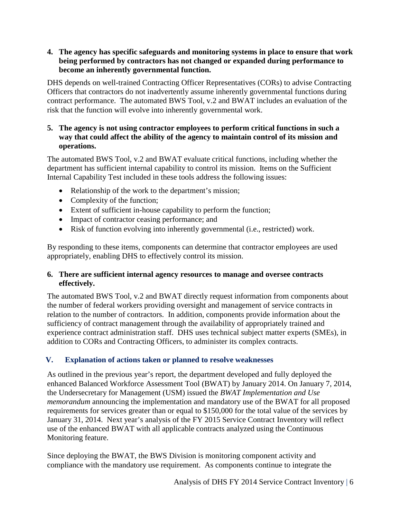## **4. The agency has specific safeguards and monitoring systems in place to ensure that work being performed by contractors has not changed or expanded during performance to become an inherently governmental function.**

DHS depends on well-trained Contracting Officer Representatives (CORs) to advise Contracting Officers that contractors do not inadvertently assume inherently governmental functions during contract performance. The automated BWS Tool, v.2 and BWAT includes an evaluation of the risk that the function will evolve into inherently governmental work.

## **5. The agency is not using contractor employees to perform critical functions in such a way that could affect the ability of the agency to maintain control of its mission and operations.**

The automated BWS Tool, v.2 and BWAT evaluate critical functions, including whether the department has sufficient internal capability to control its mission. Items on the Sufficient Internal Capability Test included in these tools address the following issues:

- Relationship of the work to the department's mission;
- Complexity of the function;
- Extent of sufficient in-house capability to perform the function;
- Impact of contractor ceasing performance; and
- Risk of function evolving into inherently governmental (i.e., restricted) work.

By responding to these items, components can determine that contractor employees are used appropriately, enabling DHS to effectively control its mission.

## **6. There are sufficient internal agency resources to manage and oversee contracts effectively.**

The automated BWS Tool, v.2 and BWAT directly request information from components about the number of federal workers providing oversight and management of service contracts in relation to the number of contractors. In addition, components provide information about the sufficiency of contract management through the availability of appropriately trained and experience contract administration staff. DHS uses technical subject matter experts (SMEs), in addition to CORs and Contracting Officers, to administer its complex contracts.

## **V. Explanation of actions taken or planned to resolve weaknesses**

As outlined in the previous year's report, the department developed and fully deployed the enhanced Balanced Workforce Assessment Tool (BWAT) by January 2014. On January 7, 2014, the Undersecretary for Management (USM) issued the *BWAT Implementation and Use memorandum* announcing the implementation and mandatory use of the BWAT for all proposed requirements for services greater than or equal to \$150,000 for the total value of the services by January 31, 2014. Next year's analysis of the FY 2015 Service Contract Inventory will reflect use of the enhanced BWAT with all applicable contracts analyzed using the Continuous Monitoring feature.

Since deploying the BWAT, the BWS Division is monitoring component activity and compliance with the mandatory use requirement. As components continue to integrate the